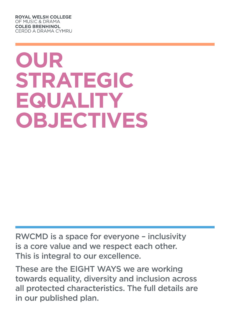**ROYAL WELSH COLLEGE** OF MUSIC & DRAMA **COLEG BRENHINOL CERDD A DRAMA CYMRU** 

# **Our Strategic Equality Objectives**

RWCMD is a space for everyone – inclusivity is a core value and we respect each other. This is integral to our excellence.

These are the EIGHT WAYS we are working towards equality, diversity and inclusion across all protected characteristics. The full details are in our published plan.